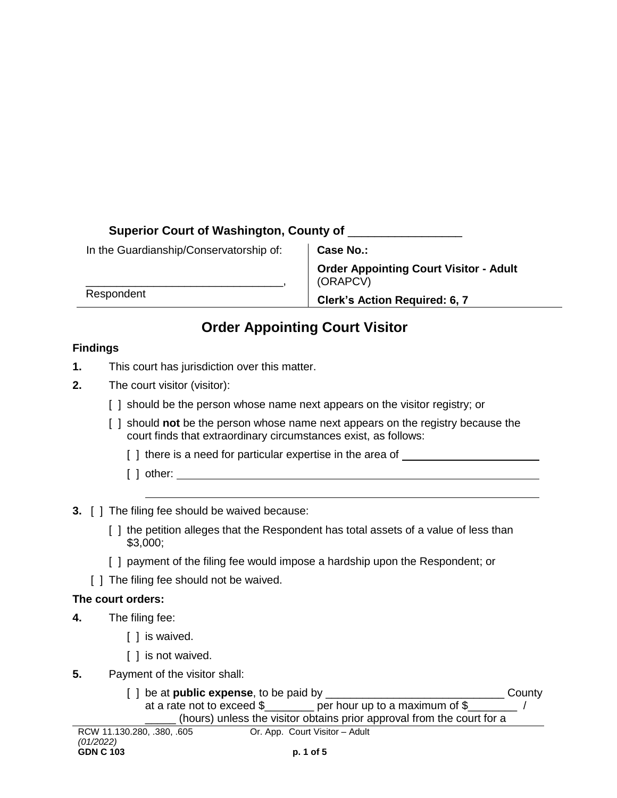## **Superior Court of Washington, County of** \_\_\_\_\_\_\_\_\_\_\_\_\_\_\_\_\_

| In the Guardianship/Conservatorship of: |
|-----------------------------------------|
|-----------------------------------------|

\_\_\_\_\_\_\_\_\_\_\_\_\_\_\_\_\_\_\_\_\_\_\_\_\_\_\_\_\_\_\_\_,

Respondent

**Case No.:**

**Order Appointing Court Visitor - Adult** (ORAPCV)

**Clerk's Action Required: 6, 7**

# **Order Appointing Court Visitor**

## **Findings**

- **1.** This court has jurisdiction over this matter.
- **2.** The court visitor (visitor):
	- [] should be the person whose name next appears on the visitor registry; or
	- [ ] should **not** be the person whose name next appears on the registry because the court finds that extraordinary circumstances exist, as follows:
		- [] there is a need for particular expertise in the area of
		- [ ] other:
- **3.** [ ] The filing fee should be waived because:
	- [ ] the petition alleges that the Respondent has total assets of a value of less than \$3,000;
	- [ ] payment of the filing fee would impose a hardship upon the Respondent; or
	- [ ] The filing fee should not be waived.

#### **The court orders:**

- **4.** The filing fee:
	- [ ] is waived.
	- [ ] is not waived.
- **5.** Payment of the visitor shall:

| [ ] be at <b>public expense</b> , to be paid by                        | County |
|------------------------------------------------------------------------|--------|
| at a rate not to exceed \$<br>per hour up to a maximum of $\S$         |        |
| (hours) unless the visitor obtains prior approval from the court for a |        |
| 0.000 000 00F                                                          |        |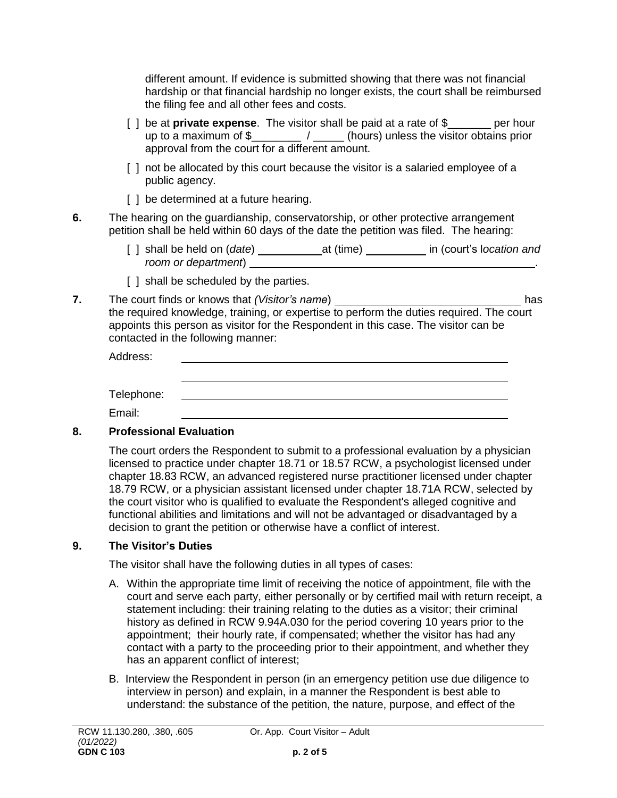different amount. If evidence is submitted showing that there was not financial hardship or that financial hardship no longer exists, the court shall be reimbursed the filing fee and all other fees and costs.

- [ ] be at **private expense**. The visitor shall be paid at a rate of \$ \_\_\_\_\_ per hour up to a maximum of \$\_\_\_\_\_\_\_\_ / \_\_\_\_\_ (hours) unless the visitor obtains prior approval from the court for a different amount.
- [ ] not be allocated by this court because the visitor is a salaried employee of a public agency.
- [] be determined at a future hearing.
- **6.** The hearing on the guardianship, conservatorship, or other protective arrangement petition shall be held within 60 days of the date the petition was filed. The hearing:
	- [ ] shall be held on (*date*) \_\_\_\_\_\_\_\_\_\_\_\_\_\_at (time) \_\_\_\_\_\_\_\_\_\_\_ in (court's location and *room or department*) .
	- [ ] shall be scheduled by the parties.
- **7.** The court finds or knows that *(Visitor's name*) has the required knowledge, training, or expertise to perform the duties required. The court appoints this person as visitor for the Respondent in this case. The visitor can be contacted in the following manner:

| Address:   |  |
|------------|--|
|            |  |
|            |  |
| Telephone: |  |
| Email:     |  |

## **8. Professional Evaluation**

The court orders the Respondent to submit to a professional evaluation by a physician licensed to practice under chapter [18.71](http://app.leg.wa.gov/RCW/default.aspx?cite=18.71) or [18.57](http://app.leg.wa.gov/RCW/default.aspx?cite=18.57) RCW, a psychologist licensed under chapter [18.83](http://app.leg.wa.gov/RCW/default.aspx?cite=18.83) RCW, an advanced registered nurse practitioner licensed under chapter [18.79](http://app.leg.wa.gov/RCW/default.aspx?cite=18.79) RCW, or a physician assistant licensed under chapter [18.71A](http://app.leg.wa.gov/RCW/default.aspx?cite=18.71A) RCW, selected by the court visitor who is qualified to evaluate the Respondent's alleged cognitive and functional abilities and limitations and will not be advantaged or disadvantaged by a decision to grant the petition or otherwise have a conflict of interest.

## **9. The Visitor's Duties**

The visitor shall have the following duties in all types of cases:

- A. Within the appropriate time limit of receiving the notice of appointment, file with the court and serve each party, either personally or by certified mail with return receipt, a statement including: their training relating to the duties as a visitor; their criminal history as defined in RCW 9.94A.030 for the period covering 10 years prior to the appointment; their hourly rate, if compensated; whether the visitor has had any contact with a party to the proceeding prior to their appointment, and whether they has an apparent conflict of interest;
- B. Interview the Respondent in person (in an emergency petition use due diligence to interview in person) and explain, in a manner the Respondent is best able to understand: the substance of the petition, the nature, purpose, and effect of the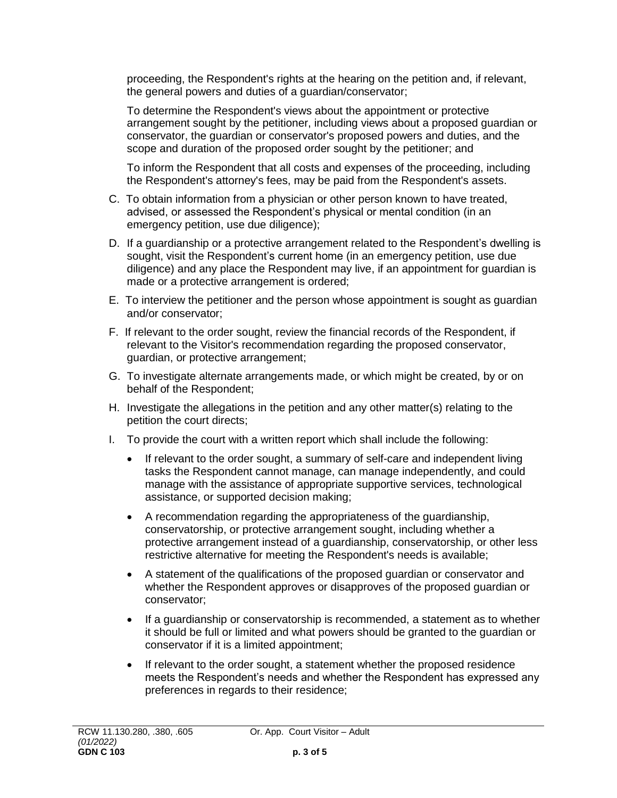proceeding, the Respondent's rights at the hearing on the petition and, if relevant, the general powers and duties of a guardian/conservator;

To determine the Respondent's views about the appointment or protective arrangement sought by the petitioner, including views about a proposed guardian or conservator, the guardian or conservator's proposed powers and duties, and the scope and duration of the proposed order sought by the petitioner; and

To inform the Respondent that all costs and expenses of the proceeding, including the Respondent's attorney's fees, may be paid from the Respondent's assets.

- C. To obtain information from a physician or other person known to have treated, advised, or assessed the Respondent's physical or mental condition (in an emergency petition, use due diligence);
- D. If a guardianship or a protective arrangement related to the Respondent's dwelling is sought, visit the Respondent's current home (in an emergency petition, use due diligence) and any place the Respondent may live, if an appointment for guardian is made or a protective arrangement is ordered;
- E. To interview the petitioner and the person whose appointment is sought as guardian and/or conservator;
- F. If relevant to the order sought, review the financial records of the Respondent, if relevant to the Visitor's recommendation regarding the proposed conservator, guardian, or protective arrangement;
- G. To investigate alternate arrangements made, or which might be created, by or on behalf of the Respondent;
- H. Investigate the allegations in the petition and any other matter(s) relating to the petition the court directs;
- I. To provide the court with a written report which shall include the following:
	- If relevant to the order sought, a summary of self-care and independent living tasks the Respondent cannot manage, can manage independently, and could manage with the assistance of appropriate supportive services, technological assistance, or supported decision making;
	- A recommendation regarding the appropriateness of the guardianship, conservatorship, or protective arrangement sought, including whether a protective arrangement instead of a guardianship, conservatorship, or other less restrictive alternative for meeting the Respondent's needs is available;
	- A statement of the qualifications of the proposed guardian or conservator and whether the Respondent approves or disapproves of the proposed guardian or conservator;
	- If a guardianship or conservatorship is recommended, a statement as to whether it should be full or limited and what powers should be granted to the guardian or conservator if it is a limited appointment;
	- If relevant to the order sought, a statement whether the proposed residence meets the Respondent's needs and whether the Respondent has expressed any preferences in regards to their residence;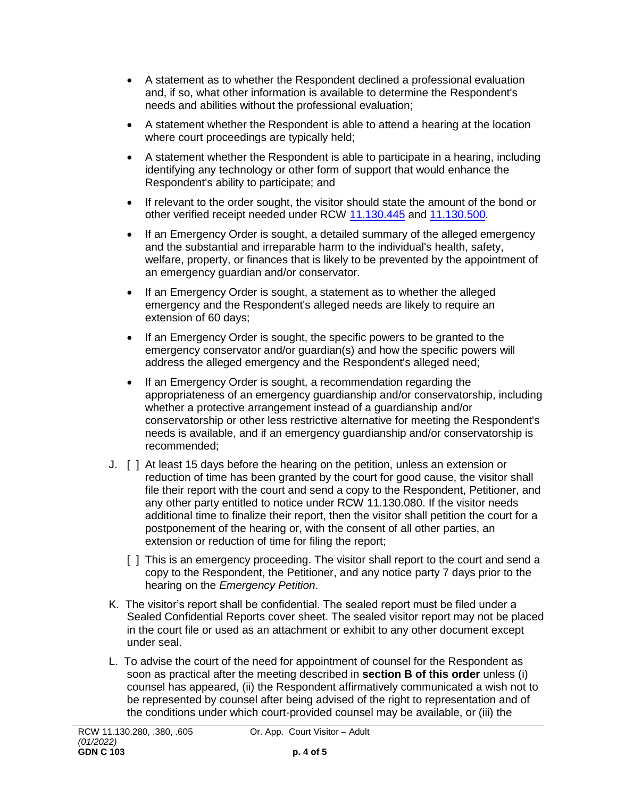- A statement as to whether the Respondent declined a professional evaluation and, if so, what other information is available to determine the Respondent's needs and abilities without the professional evaluation;
- A statement whether the Respondent is able to attend a hearing at the location where court proceedings are typically held;
- A statement whether the Respondent is able to participate in a hearing, including identifying any technology or other form of support that would enhance the Respondent's ability to participate; and
- If relevant to the order sought, the visitor should state the amount of the bond or other verified receipt needed under RCW [11.130.445](http://app.leg.wa.gov/RCW/default.aspx?cite=11.130.445) and [11.130.500.](http://app.leg.wa.gov/RCW/default.aspx?cite=11.130.500)
- If an Emergency Order is sought, a detailed summary of the alleged emergency and the substantial and irreparable harm to the individual's health, safety, welfare, property, or finances that is likely to be prevented by the appointment of an emergency guardian and/or conservator.
- If an Emergency Order is sought, a statement as to whether the alleged emergency and the Respondent's alleged needs are likely to require an extension of 60 days;
- If an Emergency Order is sought, the specific powers to be granted to the emergency conservator and/or guardian(s) and how the specific powers will address the alleged emergency and the Respondent's alleged need;
- If an Emergency Order is sought, a recommendation regarding the appropriateness of an emergency guardianship and/or conservatorship, including whether a protective arrangement instead of a guardianship and/or conservatorship or other less restrictive alternative for meeting the Respondent's needs is available, and if an emergency guardianship and/or conservatorship is recommended;
- J. [ ] At least 15 days before the hearing on the petition, unless an extension or reduction of time has been granted by the court for good cause, the visitor shall file their report with the court and send a copy to the Respondent, Petitioner, and any other party entitled to notice under RCW 11.130.080. If the visitor needs additional time to finalize their report, then the visitor shall petition the court for a postponement of the hearing or, with the consent of all other parties, an extension or reduction of time for filing the report;
	- [ ] This is an emergency proceeding. The visitor shall report to the court and send a copy to the Respondent, the Petitioner, and any notice party 7 days prior to the hearing on the *Emergency Petition*.
- K. The visitor's report shall be confidential. The sealed report must be filed under a Sealed Confidential Reports cover sheet. The sealed visitor report may not be placed in the court file or used as an attachment or exhibit to any other document except under seal.
- L. To advise the court of the need for appointment of counsel for the Respondent as soon as practical after the meeting described in **section B of this order** unless (i) counsel has appeared, (ii) the Respondent affirmatively communicated a wish not to be represented by counsel after being advised of the right to representation and of the conditions under which court-provided counsel may be available, or (iii) the